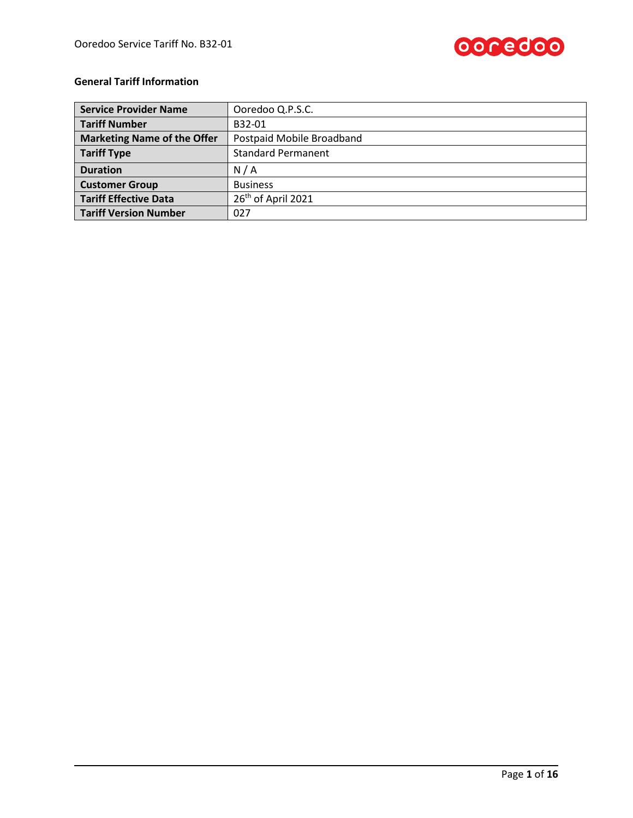

# **General Tariff Information**

| <b>Service Provider Name</b>       | Ooredoo Q.P.S.C.               |  |  |
|------------------------------------|--------------------------------|--|--|
| <b>Tariff Number</b>               | B32-01                         |  |  |
| <b>Marketing Name of the Offer</b> | Postpaid Mobile Broadband      |  |  |
| <b>Tariff Type</b>                 | <b>Standard Permanent</b>      |  |  |
| <b>Duration</b>                    | N/A                            |  |  |
| <b>Customer Group</b>              | <b>Business</b>                |  |  |
| <b>Tariff Effective Data</b>       | 26 <sup>th</sup> of April 2021 |  |  |
| <b>Tariff Version Number</b>       | 027                            |  |  |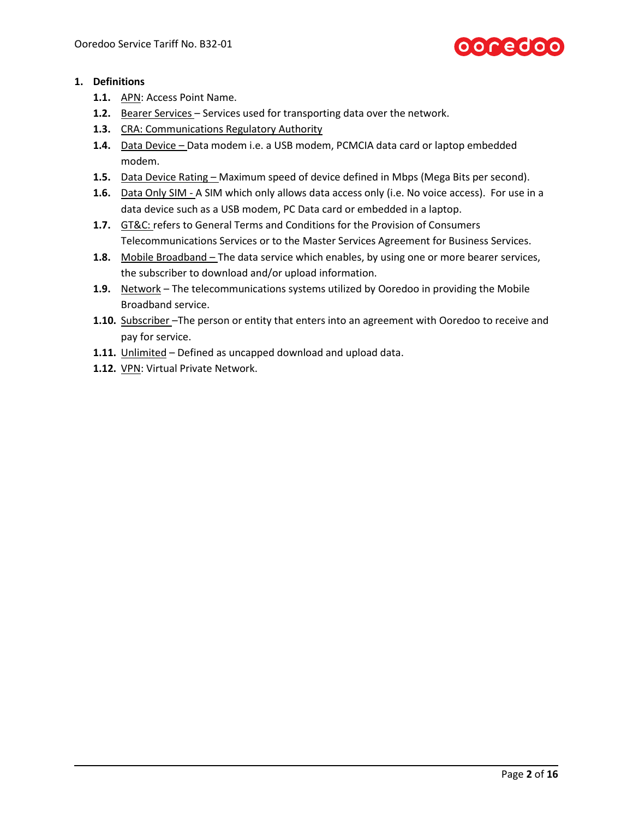

# **1. Definitions**

- **1.1.** APN: Access Point Name.
- **1.2.** Bearer Services Services used for transporting data over the network.
- **1.3.** CRA: Communications Regulatory Authority
- **1.4.** Data Device Data modem i.e. a USB modem, PCMCIA data card or laptop embedded modem.
- **1.5.** Data Device Rating Maximum speed of device defined in Mbps (Mega Bits per second).
- **1.6.** Data Only SIM A SIM which only allows data access only (i.e. No voice access). For use in a data device such as a USB modem, PC Data card or embedded in a laptop.
- **1.7.** GT&C: refers to General Terms and Conditions for the Provision of Consumers Telecommunications Services or to the Master Services Agreement for Business Services.
- **1.8.** Mobile Broadband The data service which enables, by using one or more bearer services, the subscriber to download and/or upload information.
- **1.9.** Network The telecommunications systems utilized by Ooredoo in providing the Mobile Broadband service.
- **1.10.** Subscriber –The person or entity that enters into an agreement with Ooredoo to receive and pay for service.
- **1.11.** Unlimited Defined as uncapped download and upload data.
- **1.12.** VPN: Virtual Private Network.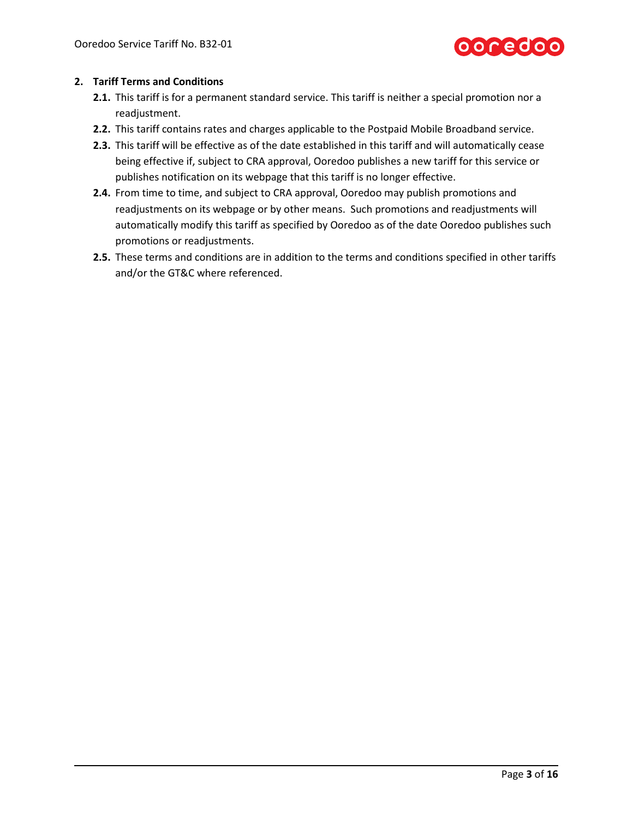

# **2. Tariff Terms and Conditions**

- **2.1.** This tariff is for a permanent standard service. This tariff is neither a special promotion nor a readjustment.
- **2.2.** This tariff contains rates and charges applicable to the Postpaid Mobile Broadband service.
- **2.3.** This tariff will be effective as of the date established in this tariff and will automatically cease being effective if, subject to CRA approval, Ooredoo publishes a new tariff for this service or publishes notification on its webpage that this tariff is no longer effective.
- **2.4.** From time to time, and subject to CRA approval, Ooredoo may publish promotions and readjustments on its webpage or by other means. Such promotions and readjustments will automatically modify this tariff as specified by Ooredoo as of the date Ooredoo publishes such promotions or readjustments.
- **2.5.** These terms and conditions are in addition to the terms and conditions specified in other tariffs and/or the GT&C where referenced.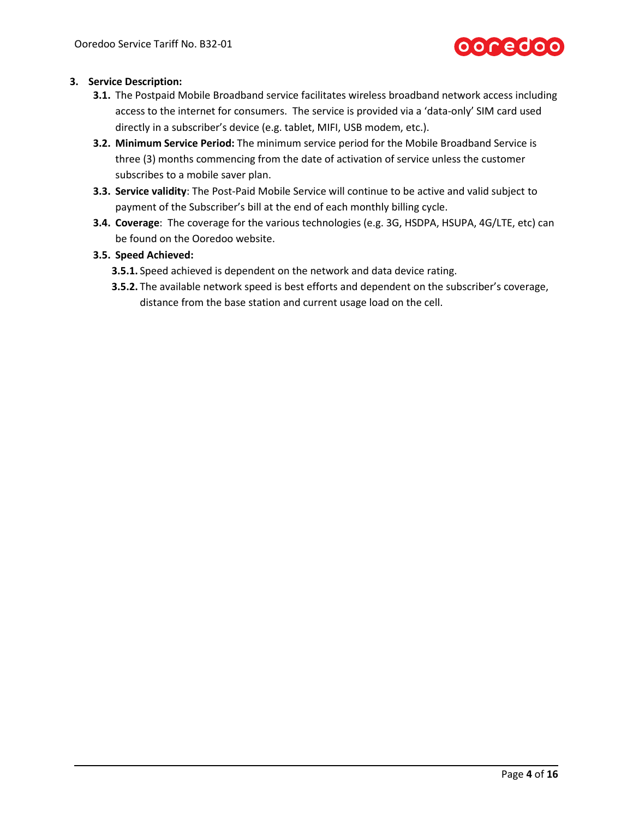

## **3. Service Description:**

- **3.1.** The Postpaid Mobile Broadband service facilitates wireless broadband network access including access to the internet for consumers. The service is provided via a 'data-only' SIM card used directly in a subscriber's device (e.g. tablet, MIFI, USB modem, etc.).
- **3.2. Minimum Service Period:** The minimum service period for the Mobile Broadband Service is three (3) months commencing from the date of activation of service unless the customer subscribes to a mobile saver plan.
- **3.3. Service validity**: The Post-Paid Mobile Service will continue to be active and valid subject to payment of the Subscriber's bill at the end of each monthly billing cycle.
- <span id="page-3-0"></span>**3.4. Coverage**: The coverage for the various technologies (e.g. 3G, HSDPA, HSUPA, 4G/LTE, etc) can be found on the Ooredoo website.

## **3.5. Speed Achieved:**

- **3.5.1.** Speed achieved is dependent on the network and data device rating.
- **3.5.2.** The available network speed is best efforts and dependent on the subscriber's coverage, distance from the base station and current usage load on the cell.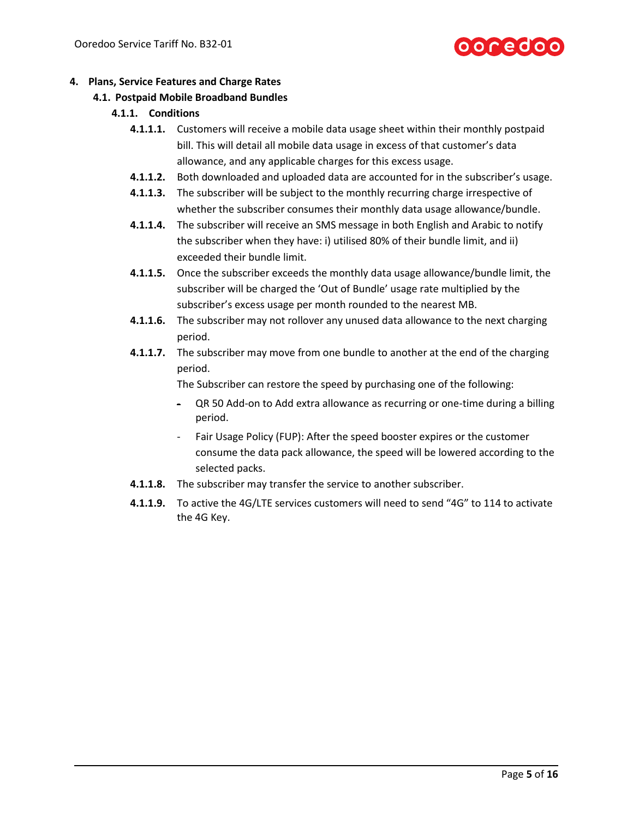# **poredoo**

# **4. Plans, Service Features and Charge Rates**

# **4.1. Postpaid Mobile Broadband Bundles**

# **4.1.1. Conditions**

- **4.1.1.1.** Customers will receive a mobile data usage sheet within their monthly postpaid bill. This will detail all mobile data usage in excess of that customer's data allowance, and any applicable charges for this excess usage.
- **4.1.1.2.** Both downloaded and uploaded data are accounted for in the subscriber's usage.
- **4.1.1.3.** The subscriber will be subject to the monthly recurring charge irrespective of whether the subscriber consumes their monthly data usage allowance/bundle.
- **4.1.1.4.** The subscriber will receive an SMS message in both English and Arabic to notify the subscriber when they have: i) utilised 80% of their bundle limit, and ii) exceeded their bundle limit.
- **4.1.1.5.** Once the subscriber exceeds the monthly data usage allowance/bundle limit, the subscriber will be charged the 'Out of Bundle' usage rate multiplied by the subscriber's excess usage per month rounded to the nearest MB.
- **4.1.1.6.** The subscriber may not rollover any unused data allowance to the next charging period.
- **4.1.1.7.** The subscriber may move from one bundle to another at the end of the charging period.

The Subscriber can restore the speed by purchasing one of the following:

- QR 50 Add-on to Add extra allowance as recurring or one-time during a billing period.
- Fair Usage Policy (FUP): After the speed booster expires or the customer consume the data pack allowance, the speed will be lowered according to the selected packs.
- **4.1.1.8.** The subscriber may transfer the service to another subscriber.
- **4.1.1.9.** To active the 4G/LTE services customers will need to send "4G" to 114 to activate the 4G Key.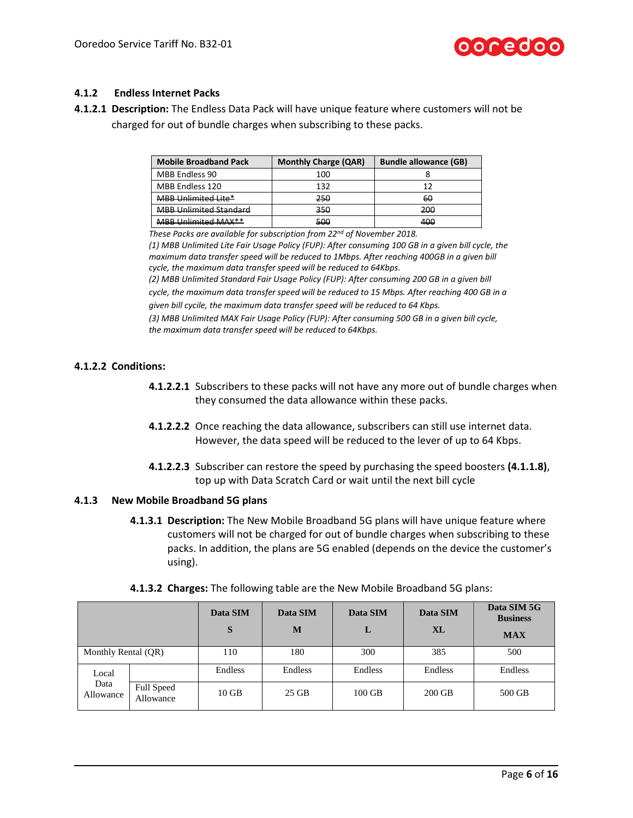

# **4.1.2 Endless Internet Packs**

**4.1.2.1 Description:** The Endless Data Pack will have unique feature where customers will not be charged for out of bundle charges when subscribing to these packs.

| <b>Mobile Broadband Pack</b>                             | <b>Monthly Charge (QAR)</b> | <b>Bundle allowance (GB)</b> |
|----------------------------------------------------------|-----------------------------|------------------------------|
| <b>MBB Endless 90</b>                                    | 100                         |                              |
| MBB Endless 120                                          | 132                         |                              |
| <b>MBB Unlimited Lite*</b>                               | 250                         | 60                           |
| <b>MBB Unlimited Standard</b>                            | 350                         | 200                          |
| $MAPR$ Unlimited $MAY**$<br><del>ivido umimacu mrv</del> | 500                         | 400                          |

*These Packs are available for subscription from 22nd of November 2018.*

*(1) MBB Unlimited Lite Fair Usage Policy (FUP): After consuming 100 GB in a given bill cycle, the maximum data transfer speed will be reduced to 1Mbps. After reaching 400GB in a given bill cycle, the maximum data transfer speed will be reduced to 64Kbps.*

*(2) MBB Unlimited Standard Fair Usage Policy (FUP): After consuming 200 GB in a given bill cycle, the maximum data transfer speed will be reduced to 15 Mbps. After reaching 400 GB in a given bill cycile, the maximum data transfer speed will be reduced to 64 Kbps.*

*(3) MBB Unlimited MAX Fair Usage Policy (FUP): After consuming 500 GB in a given bill cycle, the maximum data transfer speed will be reduced to 64Kbps.*

# **4.1.2.2 Conditions:**

- **4.1.2.2.1** Subscribers to these packs will not have any more out of bundle charges when they consumed the data allowance within these packs.
- **4.1.2.2.2** Once reaching the data allowance, subscribers can still use internet data. However, the data speed will be reduced to the lever of up to 64 Kbps.
- **4.1.2.2.3** Subscriber can restore the speed by purchasing the speed boosters **(4.1.1.8)**, top up with Data Scratch Card or wait until the next bill cycle

# **4.1.3 New Mobile Broadband 5G plans**

**4.1.3.1 Description:** The New Mobile Broadband 5G plans will have unique feature where customers will not be charged for out of bundle charges when subscribing to these packs. In addition, the plans are 5G enabled (depends on the device the customer's using).

|                     |                                | Data SIM<br>S | Data SIM<br>M | Data SIM<br>L | Data SIM<br><b>XL</b> | Data SIM 5G<br><b>Business</b><br><b>MAX</b> |
|---------------------|--------------------------------|---------------|---------------|---------------|-----------------------|----------------------------------------------|
| Monthly Rental (QR) |                                | 110           | 180           | 300           | 385                   | 500                                          |
| Local               |                                | Endless       | Endless       | Endless       | Endless               | Endless                                      |
| Data<br>Allowance   | <b>Full Speed</b><br>Allowance | $10$ GB       | 25 GB         | $100$ GB      | $200$ GB              | 500 GB                                       |

**4.1.3.2 Charges:** The following table are the New Mobile Broadband 5G plans: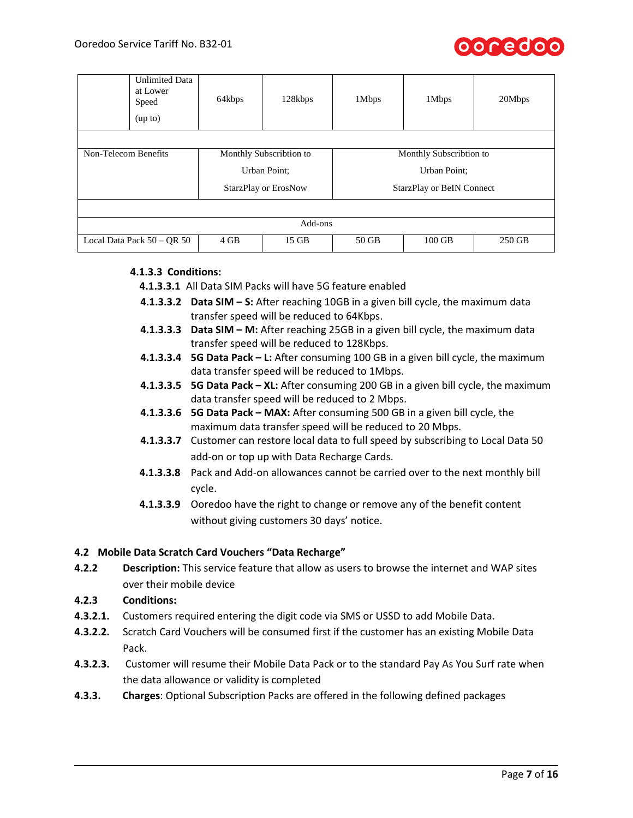

| <b>Unlimited Data</b><br>at Lower<br>Speed<br>(up to) | 64kbps                      | 128kbps | 1Mbps                   | 1Mbps                            | 20Mbps |
|-------------------------------------------------------|-----------------------------|---------|-------------------------|----------------------------------|--------|
|                                                       |                             |         |                         |                                  |        |
| Non-Telecom Benefits                                  | Monthly Subscribtion to     |         | Monthly Subscribtion to |                                  |        |
|                                                       | Urban Point;                |         | Urban Point;            |                                  |        |
|                                                       | <b>StarzPlay or ErosNow</b> |         |                         | <b>StarzPlay or BeIN Connect</b> |        |
|                                                       |                             |         |                         |                                  |        |
| Add-ons                                               |                             |         |                         |                                  |        |
| Local Data Pack $50 - QR 50$                          | 4 GB                        | 15 GB   | 50 GB                   | $100$ GB                         | 250 GB |

# **4.1.3.3 Conditions:**

**4.1.3.3.1** All Data SIM Packs will have 5G feature enabled

- **4.1.3.3.2 Data SIM – S:** After reaching 10GB in a given bill cycle, the maximum data transfer speed will be reduced to 64Kbps.
- **4.1.3.3.3 Data SIM – M:** After reaching 25GB in a given bill cycle, the maximum data transfer speed will be reduced to 128Kbps.
- **4.1.3.3.4 5G Data Pack – L:** After consuming 100 GB in a given bill cycle, the maximum data transfer speed will be reduced to 1Mbps.
- **4.1.3.3.5 5G Data Pack – XL:** After consuming 200 GB in a given bill cycle, the maximum data transfer speed will be reduced to 2 Mbps.
- **4.1.3.3.6 5G Data Pack – MAX:** After consuming 500 GB in a given bill cycle, the maximum data transfer speed will be reduced to 20 Mbps.
- **4.1.3.3.7** Customer can restore local data to full speed by subscribing to Local Data 50 add-on or top up with Data Recharge Cards.
- **4.1.3.3.8** Pack and Add-on allowances cannot be carried over to the next monthly bill cycle.
- **4.1.3.3.9** Ooredoo have the right to change or remove any of the benefit content without giving customers 30 days' notice.

#### **4.2 Mobile Data Scratch Card Vouchers "Data Recharge"**

- **4.2.2 Description:** This service feature that allow as users to browse the internet and WAP sites over their mobile device
- **4.2.3 Conditions:**
- **4.3.2.1.** Customers required entering the digit code via SMS or USSD to add Mobile Data.
- **4.3.2.2.** Scratch Card Vouchers will be consumed first if the customer has an existing Mobile Data Pack.
- **4.3.2.3.** Customer will resume their Mobile Data Pack or to the standard Pay As You Surf rate when the data allowance or validity is completed
- **4.3.3. Charges**: Optional Subscription Packs are offered in the following defined packages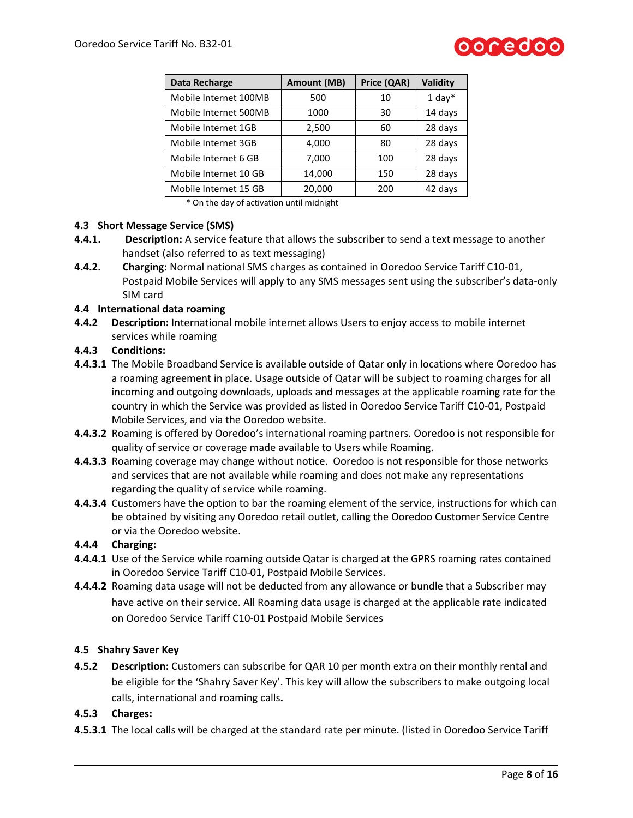

| Data Recharge         | <b>Amount (MB)</b> | Price (QAR) | Validity |
|-----------------------|--------------------|-------------|----------|
| Mobile Internet 100MB | 500                | 10          | $1$ day* |
| Mobile Internet 500MB | 1000               | 30          | 14 days  |
| Mobile Internet 1GB   | 2,500              | 60          | 28 days  |
| Mobile Internet 3GB   | 4,000              | 80          | 28 days  |
| Mobile Internet 6 GB  | 7,000              | 100         | 28 days  |
| Mobile Internet 10 GB | 14,000             | 150         | 28 days  |
| Mobile Internet 15 GB | 20,000             | 200         | 42 days  |

\* On the day of activation until midnight

#### **4.3 Short Message Service (SMS)**

- **4.4.1. Description:** A service feature that allows the subscriber to send a text message to another handset (also referred to as text messaging)
- **4.4.2. Charging:** Normal national SMS charges as contained in Ooredoo Service Tariff C10-01, Postpaid Mobile Services will apply to any SMS messages sent using the subscriber's data-only SIM card

### **4.4 International data roaming**

**4.4.2 Description:** International mobile internet allows Users to enjoy access to mobile internet services while roaming

#### **4.4.3 Conditions:**

- **4.4.3.1** The Mobile Broadband Service is available outside of Qatar only in locations where Ooredoo has a roaming agreement in place. Usage outside of Qatar will be subject to roaming charges for all incoming and outgoing downloads, uploads and messages at the applicable roaming rate for the country in which the Service was provided as listed in Ooredoo Service Tariff C10-01, Postpaid Mobile Services, and via the Ooredoo website.
- **4.4.3.2** Roaming is offered by Ooredoo's international roaming partners. Ooredoo is not responsible for quality of service or coverage made available to Users while Roaming.
- **4.4.3.3** Roaming coverage may change without notice. Ooredoo is not responsible for those networks and services that are not available while roaming and does not make any representations regarding the quality of service while roaming.
- **4.4.3.4** Customers have the option to bar the roaming element of the service, instructions for which can be obtained by visiting any Ooredoo retail outlet, calling the Ooredoo Customer Service Centre or via the Ooredoo website.

#### **4.4.4 Charging:**

- **4.4.4.1** Use of the Service while roaming outside Qatar is charged at the GPRS roaming rates contained in Ooredoo Service Tariff C10-01, Postpaid Mobile Services.
- **4.4.4.2** Roaming data usage will not be deducted from any allowance or bundle that a Subscriber may have active on their service. All Roaming data usage is charged at the applicable rate indicated on Ooredoo Service Tariff C10-01 Postpaid Mobile Services

#### **4.5 Shahry Saver Key**

**4.5.2 Description:** Customers can subscribe for QAR 10 per month extra on their monthly rental and be eligible for the 'Shahry Saver Key'. This key will allow the subscribers to make outgoing local calls, international and roaming calls**.**

#### **4.5.3 Charges:**

**4.5.3.1** The local calls will be charged at the standard rate per minute. (listed in Ooredoo Service Tariff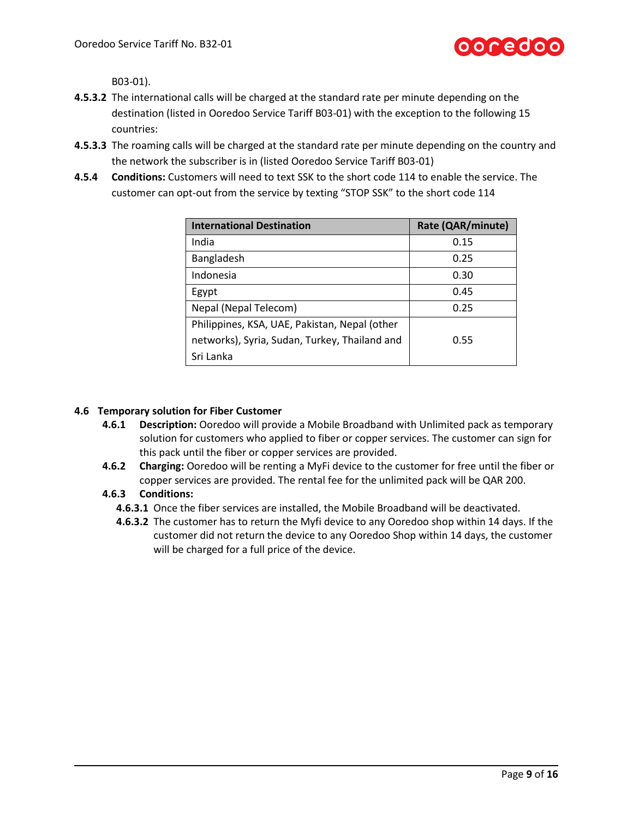

B03-01).

- **4.5.3.2** The international calls will be charged at the standard rate per minute depending on the destination (listed in Ooredoo Service Tariff B03-01) with the exception to the following 15 countries:
- **4.5.3.3** The roaming calls will be charged at the standard rate per minute depending on the country and the network the subscriber is in (listed Ooredoo Service Tariff B03-01)
- **4.5.4 Conditions:** Customers will need to text SSK to the short code 114 to enable the service. The customer can opt-out from the service by texting "STOP SSK" to the short code 114

| <b>International Destination</b>              | Rate (QAR/minute) |
|-----------------------------------------------|-------------------|
| India                                         | 0.15              |
| Bangladesh                                    | 0.25              |
| Indonesia                                     | 0.30              |
| Egypt                                         | 0.45              |
| Nepal (Nepal Telecom)                         | 0.25              |
| Philippines, KSA, UAE, Pakistan, Nepal (other |                   |
| networks), Syria, Sudan, Turkey, Thailand and | 0.55              |
| Sri Lanka                                     |                   |

# **4.6 Temporary solution for Fiber Customer**

- **4.6.1 Description:** Ooredoo will provide a Mobile Broadband with Unlimited pack as temporary solution for customers who applied to fiber or copper services. The customer can sign for this pack until the fiber or copper services are provided.
- **4.6.2 Charging:** Ooredoo will be renting a MyFi device to the customer for free until the fiber or copper services are provided. The rental fee for the unlimited pack will be QAR 200.

# **4.6.3 Conditions:**

- **4.6.3.1** Once the fiber services are installed, the Mobile Broadband will be deactivated.
- **4.6.3.2** The customer has to return the Myfi device to any Ooredoo shop within 14 days. If the customer did not return the device to any Ooredoo Shop within 14 days, the customer will be charged for a full price of the device.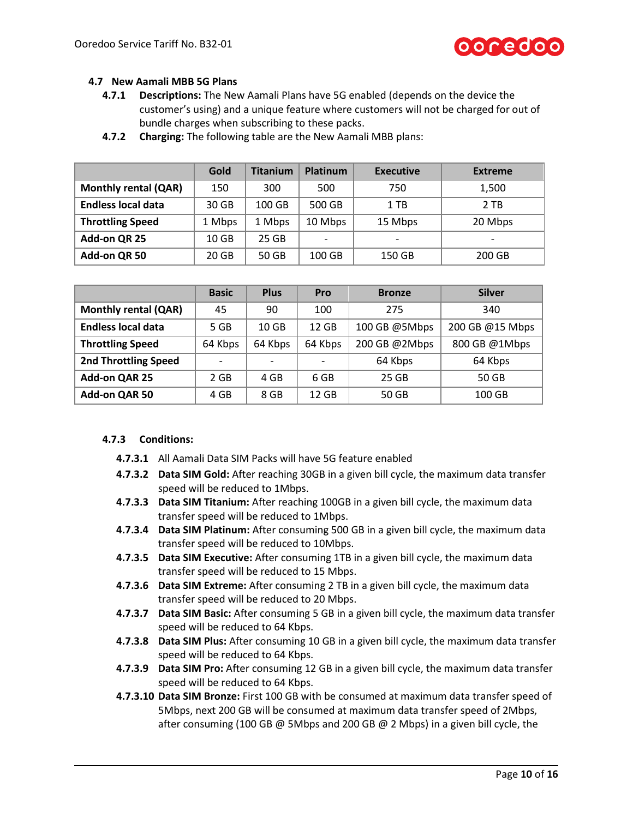

# **4.7 New Aamali MBB 5G Plans**

- **4.7.1 Descriptions:** The New Aamali Plans have 5G enabled (depends on the device the customer's using) and a unique feature where customers will not be charged for out of bundle charges when subscribing to these packs.
- **4.7.2 Charging:** The following table are the New Aamali MBB plans:

|                             | Gold             | <b>Titanium</b> | <b>Platinum</b> | <b>Executive</b>         | <b>Extreme</b>           |
|-----------------------------|------------------|-----------------|-----------------|--------------------------|--------------------------|
| <b>Monthly rental (QAR)</b> | 150              | 300             | 500             | 750                      | 1,500                    |
| <b>Endless local data</b>   | 30 GB            | 100 GB          | 500 GB          | $1$ TB                   | 2 TB                     |
| <b>Throttling Speed</b>     | 1 Mbps           | 1 Mbps          | 10 Mbps         | 15 Mbps                  | 20 Mbps                  |
| Add-on QR 25                | 10 <sub>GB</sub> | 25 GB           | -               | $\overline{\phantom{a}}$ | $\overline{\phantom{a}}$ |
| Add-on QR 50                | 20 GB            | 50 GB           | 100 GB          | 150 GB                   | 200 GB                   |

|                             | <b>Basic</b> | <b>Plus</b>              | Pro     | <b>Bronze</b> | <b>Silver</b>   |
|-----------------------------|--------------|--------------------------|---------|---------------|-----------------|
| <b>Monthly rental (QAR)</b> | 45           | 90                       | 100     | 275           | 340             |
| <b>Endless local data</b>   | 5 GB         | 10 <sub>GB</sub>         | 12 GB   | 100 GB @5Mbps | 200 GB @15 Mbps |
| <b>Throttling Speed</b>     | 64 Kbps      | 64 Kbps                  | 64 Kbps | 200 GB @2Mbps | 800 GB @1Mbps   |
| <b>2nd Throttling Speed</b> | -            | $\overline{\phantom{0}}$ | ۰       | 64 Kbps       | 64 Kbps         |
| Add-on QAR 25               | 2 GB         | 4 GB                     | 6 GB    | 25 GB         | 50 GB           |
| Add-on QAR 50               | 4 GB         | 8 GB                     | 12 GB   | 50 GB         | 100 GB          |

#### **4.7.3 Conditions:**

- **4.7.3.1** All Aamali Data SIM Packs will have 5G feature enabled
- **4.7.3.2 Data SIM Gold:** After reaching 30GB in a given bill cycle, the maximum data transfer speed will be reduced to 1Mbps.
- **4.7.3.3 Data SIM Titanium:** After reaching 100GB in a given bill cycle, the maximum data transfer speed will be reduced to 1Mbps.
- **4.7.3.4 Data SIM Platinum:** After consuming 500 GB in a given bill cycle, the maximum data transfer speed will be reduced to 10Mbps.
- **4.7.3.5 Data SIM Executive:** After consuming 1TB in a given bill cycle, the maximum data transfer speed will be reduced to 15 Mbps.
- **4.7.3.6 Data SIM Extreme:** After consuming 2 TB in a given bill cycle, the maximum data transfer speed will be reduced to 20 Mbps.
- **4.7.3.7 Data SIM Basic:** After consuming 5 GB in a given bill cycle, the maximum data transfer speed will be reduced to 64 Kbps.
- **4.7.3.8 Data SIM Plus:** After consuming 10 GB in a given bill cycle, the maximum data transfer speed will be reduced to 64 Kbps.
- **4.7.3.9 Data SIM Pro:** After consuming 12 GB in a given bill cycle, the maximum data transfer speed will be reduced to 64 Kbps.
- **4.7.3.10 Data SIM Bronze:** First 100 GB with be consumed at maximum data transfer speed of 5Mbps, next 200 GB will be consumed at maximum data transfer speed of 2Mbps, after consuming (100 GB  $\omega$  5Mbps and 200 GB  $\omega$  2 Mbps) in a given bill cycle, the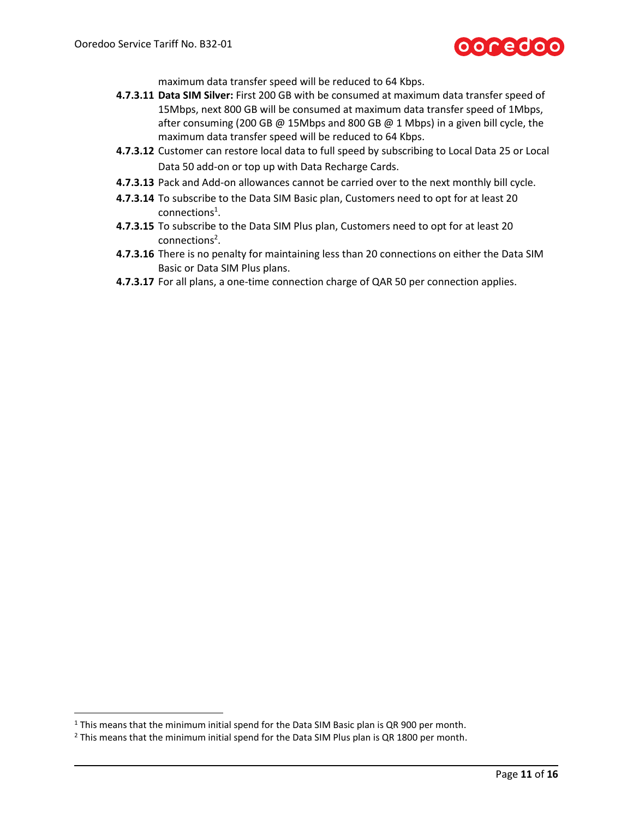

maximum data transfer speed will be reduced to 64 Kbps.

- **4.7.3.11 Data SIM Silver:** First 200 GB with be consumed at maximum data transfer speed of 15Mbps, next 800 GB will be consumed at maximum data transfer speed of 1Mbps, after consuming (200 GB @ 15Mbps and 800 GB @ 1 Mbps) in a given bill cycle, the maximum data transfer speed will be reduced to 64 Kbps.
- **4.7.3.12** Customer can restore local data to full speed by subscribing to Local Data 25 or Local Data 50 add-on or top up with Data Recharge Cards.
- **4.7.3.13** Pack and Add-on allowances cannot be carried over to the next monthly bill cycle.
- **4.7.3.14** To subscribe to the Data SIM Basic plan, Customers need to opt for at least 20  $connections<sup>1</sup>.$
- **4.7.3.15** To subscribe to the Data SIM Plus plan, Customers need to opt for at least 20 connections<sup>2</sup>.
- **4.7.3.16** There is no penalty for maintaining less than 20 connections on either the Data SIM Basic or Data SIM Plus plans.
- **4.7.3.17** For all plans, a one-time connection charge of QAR 50 per connection applies.

 $\overline{\phantom{a}}$ 

<sup>&</sup>lt;sup>1</sup> This means that the minimum initial spend for the Data SIM Basic plan is QR 900 per month.

 $2$  This means that the minimum initial spend for the Data SIM Plus plan is QR 1800 per month.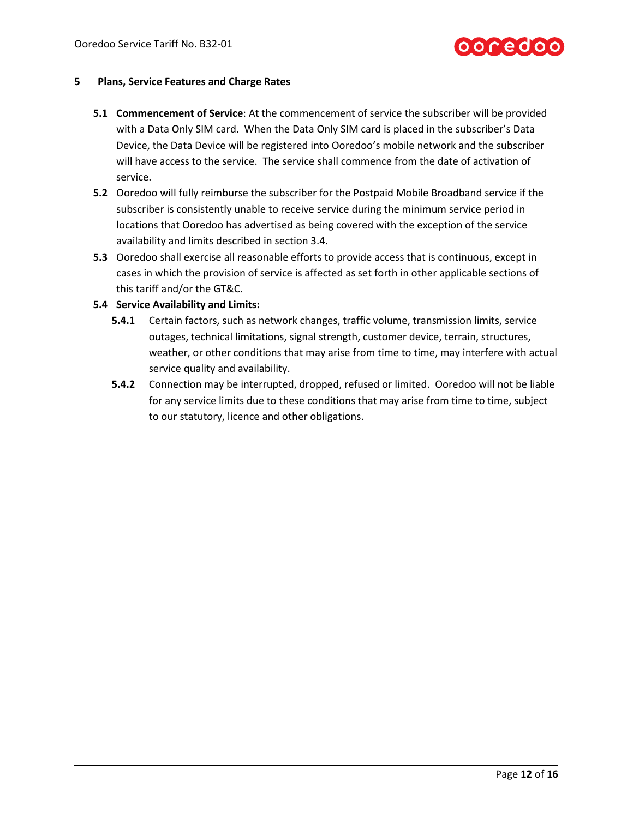

#### **5 Plans, Service Features and Charge Rates**

- **5.1 Commencement of Service**: At the commencement of service the subscriber will be provided with a Data Only SIM card. When the Data Only SIM card is placed in the subscriber's Data Device, the Data Device will be registered into Ooredoo's mobile network and the subscriber will have access to the service. The service shall commence from the date of activation of service.
- **5.2** Ooredoo will fully reimburse the subscriber for the Postpaid Mobile Broadband service if the subscriber is consistently unable to receive service during the minimum service period in locations that Ooredoo has advertised as being covered with the exception of the service availability and limits described in section [3.4.](#page-3-0)
- **5.3** Ooredoo shall exercise all reasonable efforts to provide access that is continuous, except in cases in which the provision of service is affected as set forth in other applicable sections of this tariff and/or the GT&C.

## **5.4 Service Availability and Limits:**

- **5.4.1** Certain factors, such as network changes, traffic volume, transmission limits, service outages, technical limitations, signal strength, customer device, terrain, structures, weather, or other conditions that may arise from time to time, may interfere with actual service quality and availability.
- **5.4.2** Connection may be interrupted, dropped, refused or limited. Ooredoo will not be liable for any service limits due to these conditions that may arise from time to time, subject to our statutory, licence and other obligations.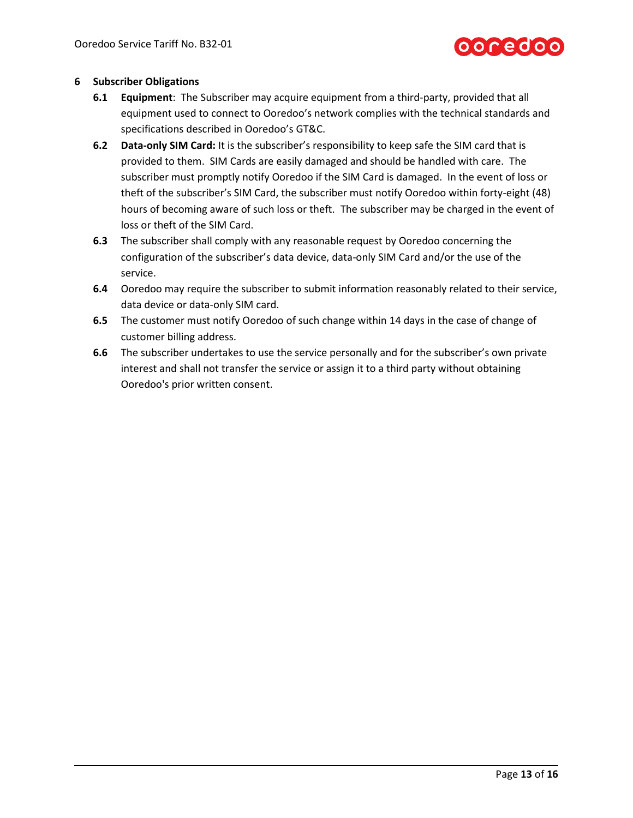

#### **6 Subscriber Obligations**

- **6.1 Equipment**: The Subscriber may acquire equipment from a third-party, provided that all equipment used to connect to Ooredoo's network complies with the technical standards and specifications described in Ooredoo's GT&C.
- **6.2 Data-only SIM Card:** It is the subscriber's responsibility to keep safe the SIM card that is provided to them. SIM Cards are easily damaged and should be handled with care. The subscriber must promptly notify Ooredoo if the SIM Card is damaged. In the event of loss or theft of the subscriber's SIM Card, the subscriber must notify Ooredoo within forty-eight (48) hours of becoming aware of such loss or theft. The subscriber may be charged in the event of loss or theft of the SIM Card.
- **6.3** The subscriber shall comply with any reasonable request by Ooredoo concerning the configuration of the subscriber's data device, data-only SIM Card and/or the use of the service.
- **6.4** Ooredoo may require the subscriber to submit information reasonably related to their service, data device or data-only SIM card.
- **6.5** The customer must notify Ooredoo of such change within 14 days in the case of change of customer billing address.
- **6.6** The subscriber undertakes to use the service personally and for the subscriber's own private interest and shall not transfer the service or assign it to a third party without obtaining Ooredoo's prior written consent.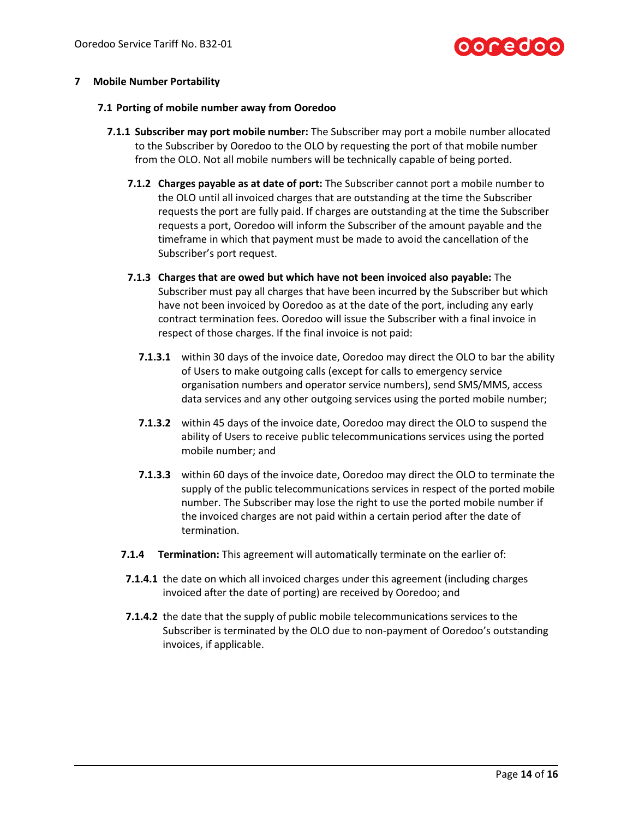

### **7 Mobile Number Portability**

#### **7.1 Porting of mobile number away from Ooredoo**

- **7.1.1 Subscriber may port mobile number:** The Subscriber may port a mobile number allocated to the Subscriber by Ooredoo to the OLO by requesting the port of that mobile number from the OLO. Not all mobile numbers will be technically capable of being ported.
	- **7.1.2 Charges payable as at date of port:** The Subscriber cannot port a mobile number to the OLO until all invoiced charges that are outstanding at the time the Subscriber requests the port are fully paid. If charges are outstanding at the time the Subscriber requests a port, Ooredoo will inform the Subscriber of the amount payable and the timeframe in which that payment must be made to avoid the cancellation of the Subscriber's port request.
	- **7.1.3 Charges that are owed but which have not been invoiced also payable:** The Subscriber must pay all charges that have been incurred by the Subscriber but which have not been invoiced by Ooredoo as at the date of the port, including any early contract termination fees. Ooredoo will issue the Subscriber with a final invoice in respect of those charges. If the final invoice is not paid:
		- **7.1.3.1** within 30 days of the invoice date, Ooredoo may direct the OLO to bar the ability of Users to make outgoing calls (except for calls to emergency service organisation numbers and operator service numbers), send SMS/MMS, access data services and any other outgoing services using the ported mobile number;
		- **7.1.3.2** within 45 days of the invoice date, Ooredoo may direct the OLO to suspend the ability of Users to receive public telecommunications services using the ported mobile number; and
		- **7.1.3.3** within 60 days of the invoice date, Ooredoo may direct the OLO to terminate the supply of the public telecommunications services in respect of the ported mobile number. The Subscriber may lose the right to use the ported mobile number if the invoiced charges are not paid within a certain period after the date of termination.
	- **7.1.4 Termination:** This agreement will automatically terminate on the earlier of:
	- **7.1.4.1** the date on which all invoiced charges under this agreement (including charges invoiced after the date of porting) are received by Ooredoo; and
	- **7.1.4.2** the date that the supply of public mobile telecommunications services to the Subscriber is terminated by the OLO due to non-payment of Ooredoo's outstanding invoices, if applicable.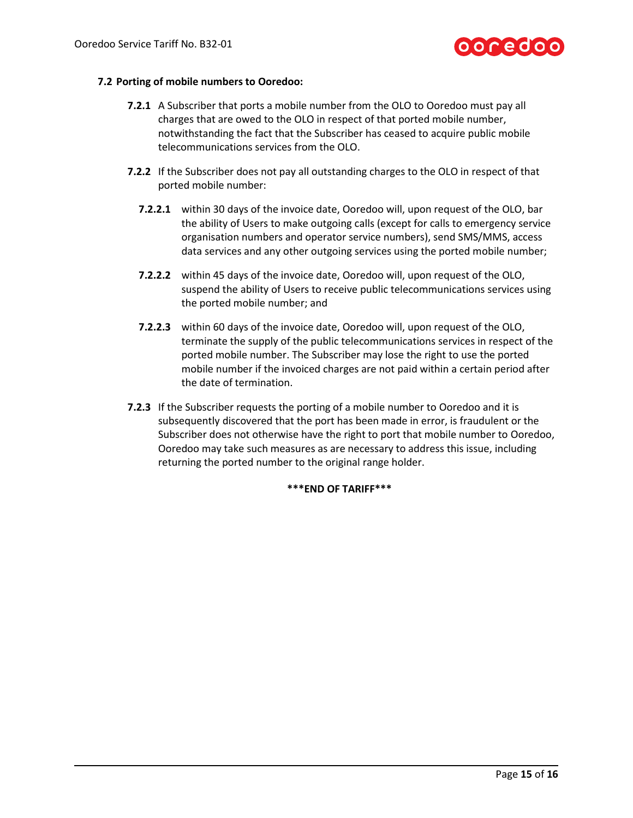

#### **7.2 Porting of mobile numbers to Ooredoo:**

- **7.2.1** A Subscriber that ports a mobile number from the OLO to Ooredoo must pay all charges that are owed to the OLO in respect of that ported mobile number, notwithstanding the fact that the Subscriber has ceased to acquire public mobile telecommunications services from the OLO.
- **7.2.2** If the Subscriber does not pay all outstanding charges to the OLO in respect of that ported mobile number:
	- **7.2.2.1** within 30 days of the invoice date, Ooredoo will, upon request of the OLO, bar the ability of Users to make outgoing calls (except for calls to emergency service organisation numbers and operator service numbers), send SMS/MMS, access data services and any other outgoing services using the ported mobile number;
	- **7.2.2.2** within 45 days of the invoice date, Ooredoo will, upon request of the OLO, suspend the ability of Users to receive public telecommunications services using the ported mobile number; and
	- **7.2.2.3** within 60 days of the invoice date, Ooredoo will, upon request of the OLO, terminate the supply of the public telecommunications services in respect of the ported mobile number. The Subscriber may lose the right to use the ported mobile number if the invoiced charges are not paid within a certain period after the date of termination.
- **7.2.3** If the Subscriber requests the porting of a mobile number to Ooredoo and it is subsequently discovered that the port has been made in error, is fraudulent or the Subscriber does not otherwise have the right to port that mobile number to Ooredoo, Ooredoo may take such measures as are necessary to address this issue, including returning the ported number to the original range holder.

#### **\*\*\*END OF TARIFF\*\*\***